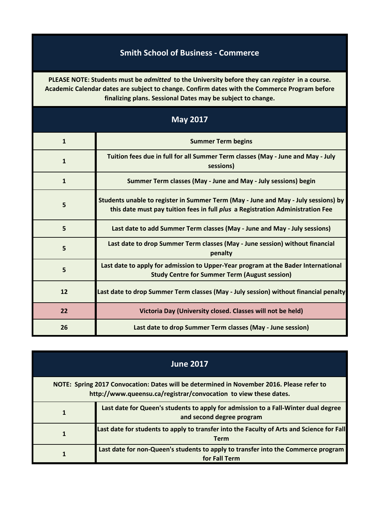## **Smith School of Business - Commerce**

**PLEASE NOTE: Students must be** *admitted* **to the University before they can** *register* **in a course. Academic Calendar dates are subject to change. Confirm dates with the Commerce Program before finalizing plans. Sessional Dates may be subject to change.**

| <b>May 2017</b> |                                                                                                                                                                      |
|-----------------|----------------------------------------------------------------------------------------------------------------------------------------------------------------------|
| $\mathbf{1}$    | <b>Summer Term begins</b>                                                                                                                                            |
| $\mathbf{1}$    | Tuition fees due in full for all Summer Term classes (May - June and May - July<br>sessions)                                                                         |
| $\mathbf{1}$    | Summer Term classes (May - June and May - July sessions) begin                                                                                                       |
| 5               | Students unable to register in Summer Term (May - June and May - July sessions) by<br>this date must pay tuition fees in full plus a Registration Administration Fee |
| 5               | Last date to add Summer Term classes (May - June and May - July sessions)                                                                                            |
| 5               | Last date to drop Summer Term classes (May - June session) without financial<br>penalty                                                                              |
| 5               | Last date to apply for admission to Upper-Year program at the Bader International<br><b>Study Centre for Summer Term (August session)</b>                            |
| 12              | Last date to drop Summer Term classes (May - July session) without financial penalty                                                                                 |
| 22              | Victoria Day (University closed. Classes will not be held)                                                                                                           |
| 26              | Last date to drop Summer Term classes (May - June session)                                                                                                           |

| <b>June 2017</b>                                                                                                                                              |                                                                                                                 |
|---------------------------------------------------------------------------------------------------------------------------------------------------------------|-----------------------------------------------------------------------------------------------------------------|
| NOTE: Spring 2017 Convocation: Dates will be determined in November 2016. Please refer to<br>http://www.queensu.ca/registrar/convocation to view these dates. |                                                                                                                 |
|                                                                                                                                                               | Last date for Queen's students to apply for admission to a Fall-Winter dual degree<br>and second degree program |
|                                                                                                                                                               | Last date for students to apply to transfer into the Faculty of Arts and Science for Fall<br><b>Term</b>        |
|                                                                                                                                                               | Last date for non-Queen's students to apply to transfer into the Commerce program<br>for Fall Term              |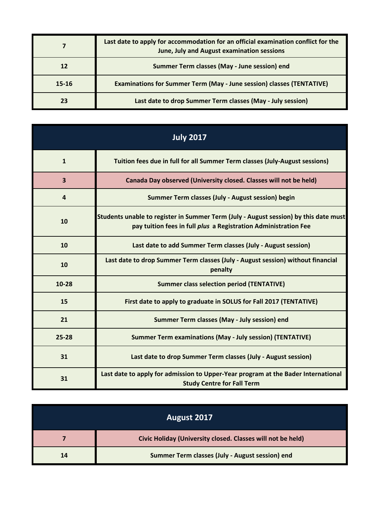|           | Last date to apply for accommodation for an official examination conflict for the<br>June, July and August examination sessions |
|-----------|---------------------------------------------------------------------------------------------------------------------------------|
| 12        | Summer Term classes (May - June session) end                                                                                    |
| $15 - 16$ | <b>Examinations for Summer Term (May - June session) classes (TENTATIVE)</b>                                                    |
| 23        | Last date to drop Summer Term classes (May - July session)                                                                      |

| <b>July 2017</b>        |                                                                                                                                                         |
|-------------------------|---------------------------------------------------------------------------------------------------------------------------------------------------------|
| $\mathbf{1}$            | Tuition fees due in full for all Summer Term classes (July-August sessions)                                                                             |
| $\overline{\mathbf{3}}$ | Canada Day observed (University closed. Classes will not be held)                                                                                       |
| 4                       | Summer Term classes (July - August session) begin                                                                                                       |
| 10                      | Students unable to register in Summer Term (July - August session) by this date must<br>pay tuition fees in full plus a Registration Administration Fee |
| 10                      | Last date to add Summer Term classes (July - August session)                                                                                            |
| 10                      | Last date to drop Summer Term classes (July - August session) without financial<br>penalty                                                              |
| 10-28                   | <b>Summer class selection period (TENTATIVE)</b>                                                                                                        |
| 15                      | First date to apply to graduate in SOLUS for Fall 2017 (TENTATIVE)                                                                                      |
| 21                      | Summer Term classes (May - July session) end                                                                                                            |
| $25 - 28$               | <b>Summer Term examinations (May - July session) (TENTATIVE)</b>                                                                                        |
| 31                      | Last date to drop Summer Term classes (July - August session)                                                                                           |
| 31                      | Last date to apply for admission to Upper-Year program at the Bader International<br><b>Study Centre for Fall Term</b>                                  |

| August 2017 |                                                             |
|-------------|-------------------------------------------------------------|
|             | Civic Holiday (University closed. Classes will not be held) |
| 14          | Summer Term classes (July - August session) end             |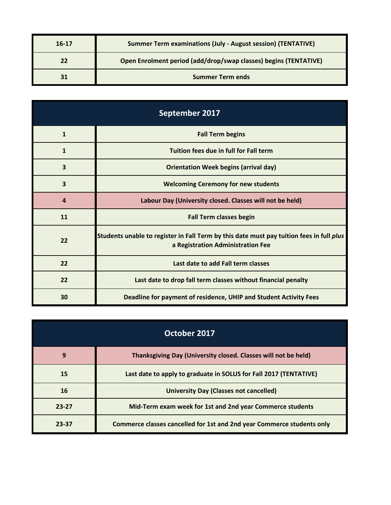| 16-17 | <b>Summer Term examinations (July - August session) (TENTATIVE)</b> |
|-------|---------------------------------------------------------------------|
| 22    | Open Enrolment period (add/drop/swap classes) begins (TENTATIVE)    |
| 31    | <b>Summer Term ends</b>                                             |

| September 2017          |                                                                                                                               |
|-------------------------|-------------------------------------------------------------------------------------------------------------------------------|
| $\mathbf{1}$            | <b>Fall Term begins</b>                                                                                                       |
| 1                       | Tuition fees due in full for Fall term                                                                                        |
| $\overline{\mathbf{3}}$ | <b>Orientation Week begins (arrival day)</b>                                                                                  |
| $\overline{\mathbf{3}}$ | <b>Welcoming Ceremony for new students</b>                                                                                    |
| $\boldsymbol{4}$        | Labour Day (University closed. Classes will not be held)                                                                      |
| 11                      | <b>Fall Term classes begin</b>                                                                                                |
| 22                      | Students unable to register in Fall Term by this date must pay tuition fees in full plus<br>a Registration Administration Fee |
| 22                      | Last date to add Fall term classes                                                                                            |
| 22                      | Last date to drop fall term classes without financial penalty                                                                 |
| 30                      | Deadline for payment of residence, UHIP and Student Activity Fees                                                             |

| October 2017 |                                                                        |
|--------------|------------------------------------------------------------------------|
| 9            | Thanksgiving Day (University closed. Classes will not be held)         |
| 15           | Last date to apply to graduate in SOLUS for Fall 2017 (TENTATIVE)      |
| 16           | <b>University Day (Classes not cancelled)</b>                          |
| $23 - 27$    | Mid-Term exam week for 1st and 2nd year Commerce students              |
| 23-37        | Commerce classes cancelled for 1st and 2nd year Commerce students only |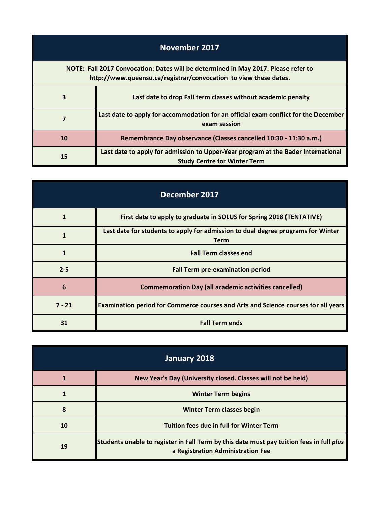| November 2017                                                                                                                                          |                                                                                                                          |
|--------------------------------------------------------------------------------------------------------------------------------------------------------|--------------------------------------------------------------------------------------------------------------------------|
| NOTE: Fall 2017 Convocation: Dates will be determined in May 2017. Please refer to<br>http://www.queensu.ca/registrar/convocation to view these dates. |                                                                                                                          |
| 3                                                                                                                                                      | Last date to drop Fall term classes without academic penalty                                                             |
| 7                                                                                                                                                      | Last date to apply for accommodation for an official exam conflict for the December<br>exam session                      |
| 10                                                                                                                                                     | Remembrance Day observance (Classes cancelled 10:30 - 11:30 a.m.)                                                        |
| 15                                                                                                                                                     | Last date to apply for admission to Upper-Year program at the Bader International<br><b>Study Centre for Winter Term</b> |

| December 2017 |                                                                                                 |
|---------------|-------------------------------------------------------------------------------------------------|
|               | First date to apply to graduate in SOLUS for Spring 2018 (TENTATIVE)                            |
|               | Last date for students to apply for admission to dual degree programs for Winter<br><b>Term</b> |
| $\mathbf 1$   | <b>Fall Term classes end</b>                                                                    |
| $2 - 5$       | <b>Fall Term pre-examination period</b>                                                         |
| 6             | <b>Commemoration Day (all academic activities cancelled)</b>                                    |
| $7 - 21$      | Examination period for Commerce courses and Arts and Science courses for all years              |
| 31            | <b>Fall Term ends</b>                                                                           |

| January 2018 |                                                                                                                               |
|--------------|-------------------------------------------------------------------------------------------------------------------------------|
|              | New Year's Day (University closed. Classes will not be held)                                                                  |
|              | <b>Winter Term begins</b>                                                                                                     |
| 8            | Winter Term classes begin                                                                                                     |
| 10           | <b>Tuition fees due in full for Winter Term</b>                                                                               |
| 19           | Students unable to register in Fall Term by this date must pay tuition fees in full plus<br>a Registration Administration Fee |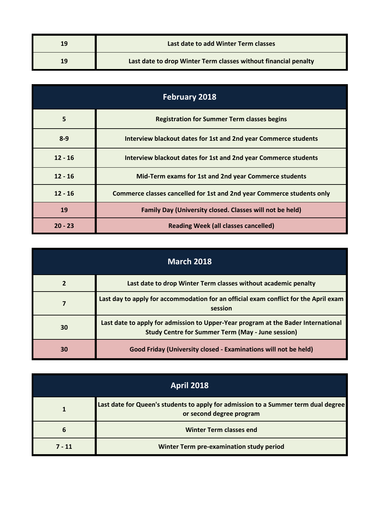| 19 | Last date to add Winter Term classes                            |
|----|-----------------------------------------------------------------|
| 19 | Last date to drop Winter Term classes without financial penalty |

| <b>February 2018</b> |                                                                        |
|----------------------|------------------------------------------------------------------------|
| 5                    | <b>Registration for Summer Term classes begins</b>                     |
| $8 - 9$              | Interview blackout dates for 1st and 2nd year Commerce students        |
| $12 - 16$            | Interview blackout dates for 1st and 2nd year Commerce students        |
| $12 - 16$            | Mid-Term exams for 1st and 2nd year Commerce students                  |
| $12 - 16$            | Commerce classes cancelled for 1st and 2nd year Commerce students only |
| 19                   | Family Day (University closed. Classes will not be held)               |
| $20 - 23$            | <b>Reading Week (all classes cancelled)</b>                            |

| <b>March 2018</b> |                                                                                                                                               |
|-------------------|-----------------------------------------------------------------------------------------------------------------------------------------------|
|                   | Last date to drop Winter Term classes without academic penalty                                                                                |
|                   | Last day to apply for accommodation for an official exam conflict for the April exam<br>session                                               |
| 30                | Last date to apply for admission to Upper-Year program at the Bader International<br><b>Study Centre for Summer Term (May - June session)</b> |
| 30                | Good Friday (University closed - Examinations will not be held)                                                                               |

| <b>April 2018</b> |                                                                                                                |
|-------------------|----------------------------------------------------------------------------------------------------------------|
|                   | Last date for Queen's students to apply for admission to a Summer term dual degree<br>or second degree program |
| 6                 | <b>Winter Term classes end</b>                                                                                 |
| $7 - 11$          | Winter Term pre-examination study period                                                                       |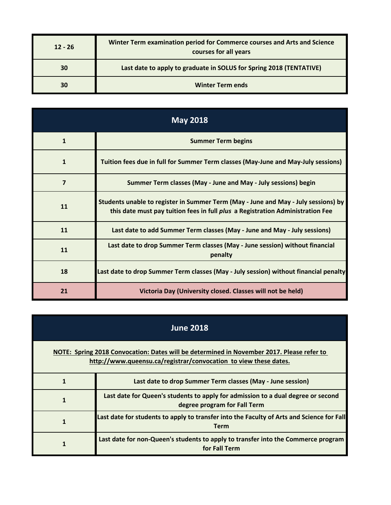| $12 - 26$ | Winter Term examination period for Commerce courses and Arts and Science<br>courses for all years |
|-----------|---------------------------------------------------------------------------------------------------|
| 30        | Last date to apply to graduate in SOLUS for Spring 2018 (TENTATIVE)                               |
| 30        | <b>Winter Term ends</b>                                                                           |

| <b>May 2018</b> |                                                                                                                                                                      |
|-----------------|----------------------------------------------------------------------------------------------------------------------------------------------------------------------|
| $\mathbf{1}$    | <b>Summer Term begins</b>                                                                                                                                            |
| 1               | Tuition fees due in full for Summer Term classes (May-June and May-July sessions)                                                                                    |
| 7               | Summer Term classes (May - June and May - July sessions) begin                                                                                                       |
| 11              | Students unable to register in Summer Term (May - June and May - July sessions) by<br>this date must pay tuition fees in full plus a Registration Administration Fee |
| 11              | Last date to add Summer Term classes (May - June and May - July sessions)                                                                                            |
| 11              | Last date to drop Summer Term classes (May - June session) without financial<br>penalty                                                                              |
| 18              | Last date to drop Summer Term classes (May - July session) without financial penalty                                                                                 |
| 21              | Victoria Day (University closed. Classes will not be held)                                                                                                           |

| <b>June 2018</b>                                                                                                                                              |                                                                                                                  |
|---------------------------------------------------------------------------------------------------------------------------------------------------------------|------------------------------------------------------------------------------------------------------------------|
| NOTE: Spring 2018 Convocation: Dates will be determined in November 2017. Please refer to<br>http://www.queensu.ca/registrar/convocation to view these dates. |                                                                                                                  |
|                                                                                                                                                               | Last date to drop Summer Term classes (May - June session)                                                       |
|                                                                                                                                                               | Last date for Queen's students to apply for admission to a dual degree or second<br>degree program for Fall Term |
|                                                                                                                                                               | Last date for students to apply to transfer into the Faculty of Arts and Science for Fall<br><b>Term</b>         |
|                                                                                                                                                               | Last date for non-Queen's students to apply to transfer into the Commerce program<br>for Fall Term               |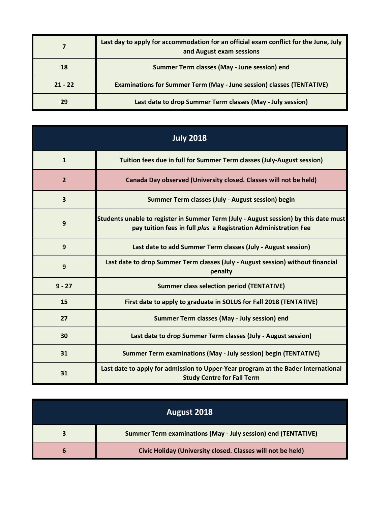|           | Last day to apply for accommodation for an official exam conflict for the June, July<br>and August exam sessions |
|-----------|------------------------------------------------------------------------------------------------------------------|
| 18        | Summer Term classes (May - June session) end                                                                     |
| $21 - 22$ | <b>Examinations for Summer Term (May - June session) classes (TENTATIVE)</b>                                     |
| 29        | Last date to drop Summer Term classes (May - July session)                                                       |

| <b>July 2018</b> |                                                                                                                                                         |
|------------------|---------------------------------------------------------------------------------------------------------------------------------------------------------|
| $\mathbf{1}$     | Tuition fees due in full for Summer Term classes (July-August session)                                                                                  |
| $\overline{2}$   | Canada Day observed (University closed. Classes will not be held)                                                                                       |
| 3                | Summer Term classes (July - August session) begin                                                                                                       |
| 9                | Students unable to register in Summer Term (July - August session) by this date must<br>pay tuition fees in full plus a Registration Administration Fee |
| 9                | Last date to add Summer Term classes (July - August session)                                                                                            |
| 9                | Last date to drop Summer Term classes (July - August session) without financial<br>penalty                                                              |
| $9 - 27$         | <b>Summer class selection period (TENTATIVE)</b>                                                                                                        |
| 15               | First date to apply to graduate in SOLUS for Fall 2018 (TENTATIVE)                                                                                      |
| 27               | Summer Term classes (May - July session) end                                                                                                            |
| 30               | Last date to drop Summer Term classes (July - August session)                                                                                           |
| 31               | <b>Summer Term examinations (May - July session) begin (TENTATIVE)</b>                                                                                  |
| 31               | Last date to apply for admission to Upper-Year program at the Bader International<br><b>Study Centre for Fall Term</b>                                  |

| August 2018 |                                                                      |
|-------------|----------------------------------------------------------------------|
|             | <b>Summer Term examinations (May - July session) end (TENTATIVE)</b> |
| n           | Civic Holiday (University closed. Classes will not be held)          |